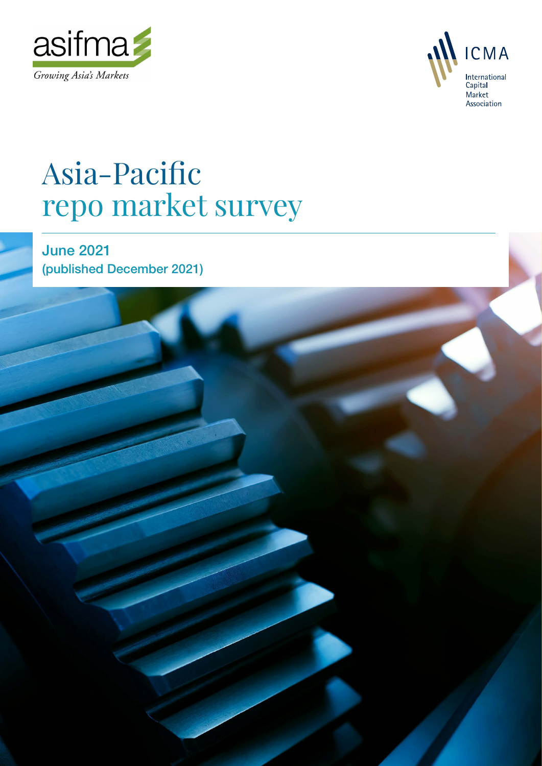



Asia-Pacific repo market survey 1

# Asia-Pacific repo market survey

June 2021 (published December 2021)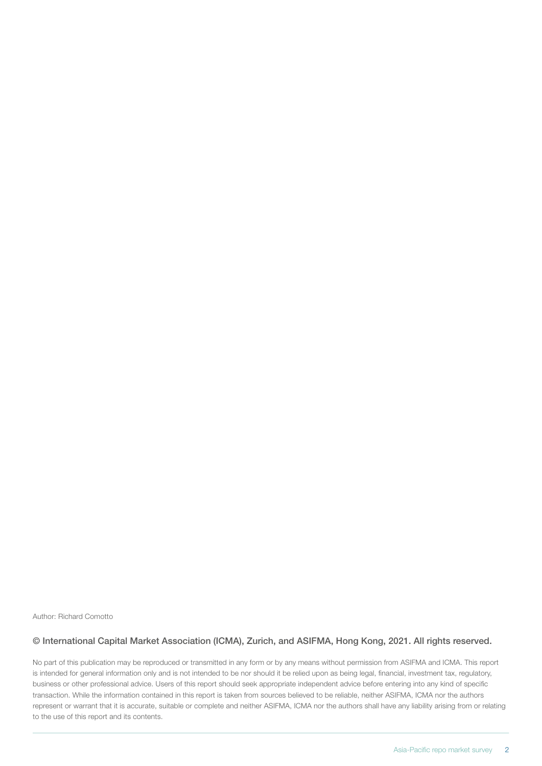Author: Richard Comotto

#### © International Capital Market Association (ICMA), Zurich, and ASIFMA, Hong Kong, 2021. All rights reserved.

No part of this publication may be reproduced or transmitted in any form or by any means without permission from ASIFMA and ICMA. This report is intended for general information only and is not intended to be nor should it be relied upon as being legal, financial, investment tax, regulatory, business or other professional advice. Users of this report should seek appropriate independent advice before entering into any kind of specific transaction. While the information contained in this report is taken from sources believed to be reliable, neither ASIFMA, ICMA nor the authors represent or warrant that it is accurate, suitable or complete and neither ASIFMA, ICMA nor the authors shall have any liability arising from or relating to the use of this report and its contents.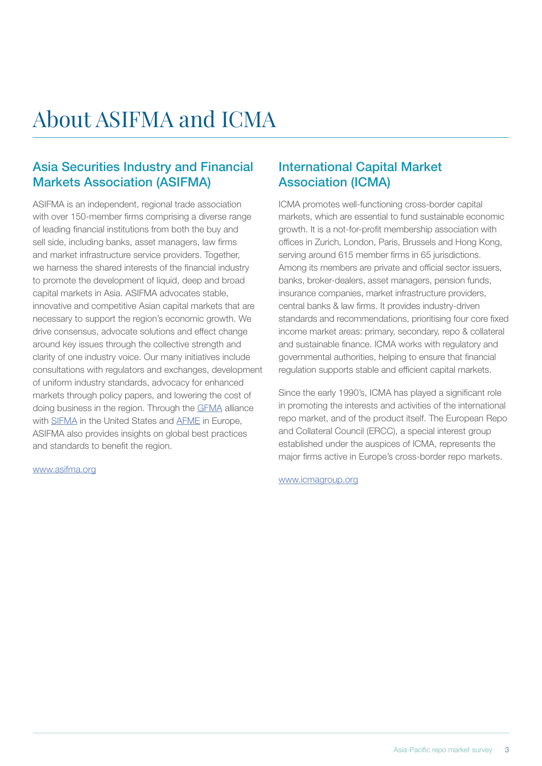# About ASIFMA and ICMA

### Asia Securities Industry and Financial Markets Association (ASIFMA)

ASIFMA is an independent, regional trade association with over 150-member firms comprising a diverse range of leading financial institutions from both the buy and sell side, including banks, asset managers, law firms and market infrastructure service providers. Together, we harness the shared interests of the financial industry to promote the development of liquid, deep and broad capital markets in Asia. ASIFMA advocates stable, innovative and competitive Asian capital markets that are necessary to support the region's economic growth. We drive consensus, advocate solutions and effect change around key issues through the collective strength and clarity of one industry voice. Our many initiatives include consultations with regulators and exchanges, development of uniform industry standards, advocacy for enhanced markets through policy papers, and lowering the cost of doing business in the region. Through the [GFMA](http://www.gfma.org/) alliance with [SIFMA](http://www.sifma.org/) in the United States and [AFME](https://www.afme.eu/) in Europe, ASIFMA also provides insights on global best practices and standards to benefit the region.

#### [www.asifma.org](https://www.asifma.org/)

### International Capital Market Association (ICMA)

ICMA promotes well-functioning cross-border capital markets, which are essential to fund sustainable economic growth. It is a not-for-profit membership association with offices in Zurich, London, Paris, Brussels and Hong Kong, serving around 615 member firms in 65 jurisdictions. Among its members are private and official sector issuers, banks, broker-dealers, asset managers, pension funds, insurance companies, market infrastructure providers, central banks & law firms. It provides industry-driven standards and recommendations, prioritising four core fixed income market areas: primary, secondary, repo & collateral and sustainable finance. ICMA works with regulatory and governmental authorities, helping to ensure that financial regulation supports stable and efficient capital markets.

Since the early 1990's, ICMA has played a significant role in promoting the interests and activities of the international repo market, and of the product itself. The European Repo and Collateral Council (ERCC), a special interest group established under the auspices of ICMA, represents the major firms active in Europe's cross-border repo markets.

[www.icmagroup.org](http://www.icmagroup.org)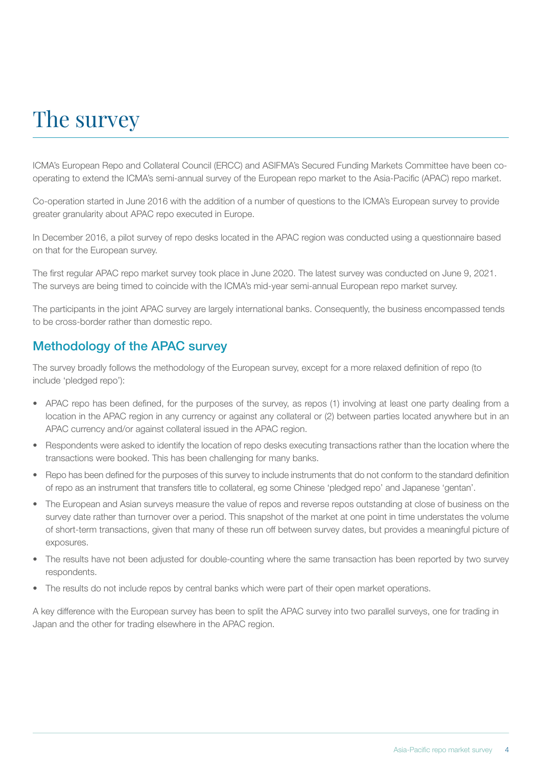# The survey

ICMA's European Repo and Collateral Council (ERCC) and ASIFMA's Secured Funding Markets Committee have been cooperating to extend the ICMA's semi-annual survey of the European repo market to the Asia-Pacific (APAC) repo market.

Co-operation started in June 2016 with the addition of a number of questions to the ICMA's European survey to provide greater granularity about APAC repo executed in Europe.

In December 2016, a pilot survey of repo desks located in the APAC region was conducted using a questionnaire based on that for the European survey.

The first regular APAC repo market survey took place in June 2020. The latest survey was conducted on June 9, 2021. The surveys are being timed to coincide with the ICMA's mid-year semi-annual European repo market survey.

The participants in the joint APAC survey are largely international banks. Consequently, the business encompassed tends to be cross-border rather than domestic repo.

### Methodology of the APAC survey

The survey broadly follows the methodology of the European survey, except for a more relaxed definition of repo (to include 'pledged repo'):

- APAC repo has been defined, for the purposes of the survey, as repos (1) involving at least one party dealing from a location in the APAC region in any currency or against any collateral or (2) between parties located anywhere but in an APAC currency and/or against collateral issued in the APAC region.
- Respondents were asked to identify the location of repo desks executing transactions rather than the location where the transactions were booked. This has been challenging for many banks.
- Repo has been defined for the purposes of this survey to include instruments that do not conform to the standard definition of repo as an instrument that transfers title to collateral, eg some Chinese 'pledged repo' and Japanese 'gentan'.
- The European and Asian surveys measure the value of repos and reverse repos outstanding at close of business on the survey date rather than turnover over a period. This snapshot of the market at one point in time understates the volume of short-term transactions, given that many of these run off between survey dates, but provides a meaningful picture of exposures.
- The results have not been adjusted for double-counting where the same transaction has been reported by two survey respondents.
- The results do not include repos by central banks which were part of their open market operations.

A key difference with the European survey has been to split the APAC survey into two parallel surveys, one for trading in Japan and the other for trading elsewhere in the APAC region.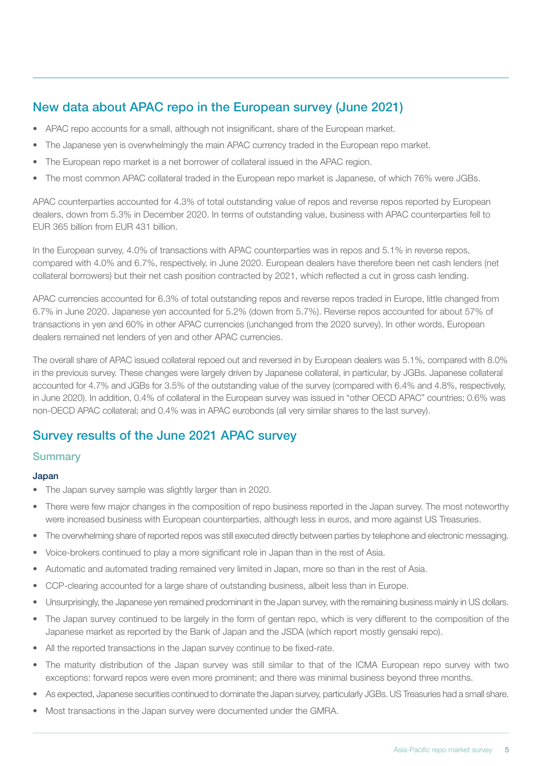## New data about APAC repo in the European survey (June 2021)

- APAC repo accounts for a small, although not insignificant, share of the European market.
- The Japanese yen is overwhelmingly the main APAC currency traded in the European repo market.
- The European repo market is a net borrower of collateral issued in the APAC region.
- The most common APAC collateral traded in the European repo market is Japanese, of which 76% were JGBs.

APAC counterparties accounted for 4.3% of total outstanding value of repos and reverse repos reported by European dealers, down from 5.3% in December 2020. In terms of outstanding value, business with APAC counterparties fell to EUR 365 billion from EUR 431 billion.

In the European survey, 4.0% of transactions with APAC counterparties was in repos and 5.1% in reverse repos, compared with 4.0% and 6.7%, respectively, in June 2020. European dealers have therefore been net cash lenders (net collateral borrowers) but their net cash position contracted by 2021, which reflected a cut in gross cash lending.

APAC currencies accounted for 6.3% of total outstanding repos and reverse repos traded in Europe, little changed from 6.7% in June 2020. Japanese yen accounted for 5.2% (down from 5.7%). Reverse repos accounted for about 57% of transactions in yen and 60% in other APAC currencies (unchanged from the 2020 survey). In other words, European dealers remained net lenders of yen and other APAC currencies.

The overall share of APAC issued collateral repoed out and reversed in by European dealers was 5.1%, compared with 8.0% in the previous survey. These changes were largely driven by Japanese collateral, in particular, by JGBs. Japanese collateral accounted for 4.7% and JGBs for 3.5% of the outstanding value of the survey (compared with 6.4% and 4.8%, respectively, in June 2020). In addition, 0.4% of collateral in the European survey was issued in "other OECD APAC" countries; 0.6% was non-OECD APAC collateral; and 0.4% was in APAC eurobonds (all very similar shares to the last survey).

### Survey results of the June 2021 APAC survey

#### **Summary**

#### Japan

- The Japan survey sample was slightly larger than in 2020.
- There were few major changes in the composition of repo business reported in the Japan survey. The most noteworthy were increased business with European counterparties, although less in euros, and more against US Treasuries.
- The overwhelming share of reported repos was still executed directly between parties by telephone and electronic messaging.
- Voice-brokers continued to play a more significant role in Japan than in the rest of Asia.
- Automatic and automated trading remained very limited in Japan, more so than in the rest of Asia.
- CCP-clearing accounted for a large share of outstanding business, albeit less than in Europe.
- Unsurprisingly, the Japanese yen remained predominant in the Japan survey, with the remaining business mainly in US dollars.
- The Japan survey continued to be largely in the form of gentan repo, which is very different to the composition of the Japanese market as reported by the Bank of Japan and the JSDA (which report mostly gensaki repo).
- All the reported transactions in the Japan survey continue to be fixed-rate.
- The maturity distribution of the Japan survey was still similar to that of the ICMA European repo survey with two exceptions: forward repos were even more prominent; and there was minimal business beyond three months.
- As expected, Japanese securities continued to dominate the Japan survey, particularly JGBs. US Treasuries had a small share.
- Most transactions in the Japan survey were documented under the GMRA.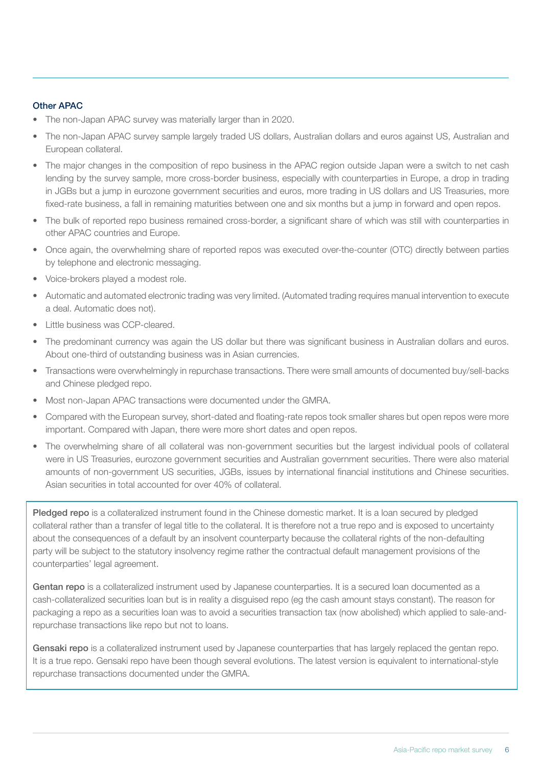#### Other APAC

- The non-Japan APAC survey was materially larger than in 2020.
- The non-Japan APAC survey sample largely traded US dollars, Australian dollars and euros against US, Australian and European collateral.
- The major changes in the composition of repo business in the APAC region outside Japan were a switch to net cash lending by the survey sample, more cross-border business, especially with counterparties in Europe, a drop in trading in JGBs but a jump in eurozone government securities and euros, more trading in US dollars and US Treasuries, more fixed-rate business, a fall in remaining maturities between one and six months but a jump in forward and open repos.
- The bulk of reported repo business remained cross-border, a significant share of which was still with counterparties in other APAC countries and Europe.
- Once again, the overwhelming share of reported repos was executed over-the-counter (OTC) directly between parties by telephone and electronic messaging.
- Voice-brokers played a modest role.
- Automatic and automated electronic trading was very limited. (Automated trading requires manual intervention to execute a deal. Automatic does not).
- Little business was CCP-cleared.
- The predominant currency was again the US dollar but there was significant business in Australian dollars and euros. About one-third of outstanding business was in Asian currencies.
- Transactions were overwhelmingly in repurchase transactions. There were small amounts of documented buy/sell-backs and Chinese pledged repo.
- Most non-Japan APAC transactions were documented under the GMRA.
- Compared with the European survey, short-dated and floating-rate repos took smaller shares but open repos were more important. Compared with Japan, there were more short dates and open repos.
- The overwhelming share of all collateral was non-government securities but the largest individual pools of collateral were in US Treasuries, eurozone government securities and Australian government securities. There were also material amounts of non-government US securities, JGBs, issues by international financial institutions and Chinese securities. Asian securities in total accounted for over 40% of collateral.

Pledged repo is a collateralized instrument found in the Chinese domestic market. It is a loan secured by pledged collateral rather than a transfer of legal title to the collateral. It is therefore not a true repo and is exposed to uncertainty about the consequences of a default by an insolvent counterparty because the collateral rights of the non-defaulting party will be subject to the statutory insolvency regime rather the contractual default management provisions of the counterparties' legal agreement.

Gentan repo is a collateralized instrument used by Japanese counterparties. It is a secured loan documented as a cash-collateralized securities loan but is in reality a disguised repo (eg the cash amount stays constant). The reason for packaging a repo as a securities loan was to avoid a securities transaction tax (now abolished) which applied to sale-andrepurchase transactions like repo but not to loans.

Gensaki repo is a collateralized instrument used by Japanese counterparties that has largely replaced the gentan repo. It is a true repo. Gensaki repo have been though several evolutions. The latest version is equivalent to international-style repurchase transactions documented under the GMRA.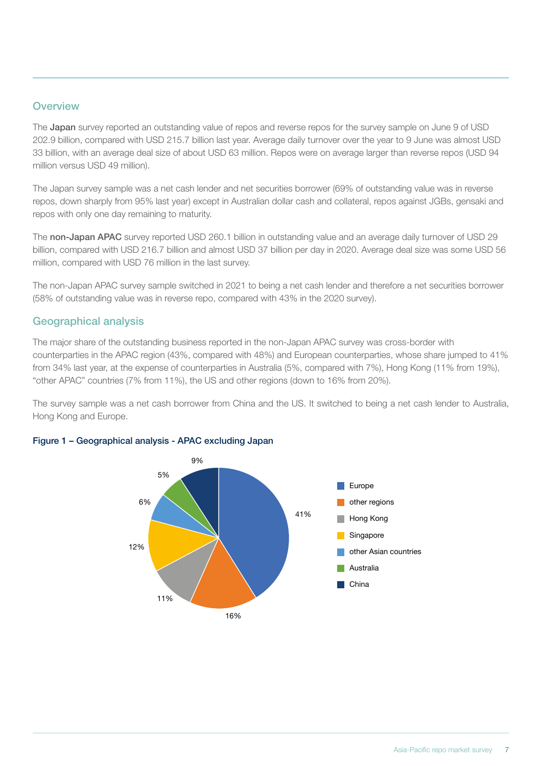#### **Overview**

The Japan survey reported an outstanding value of repos and reverse repos for the survey sample on June 9 of USD 202.9 billion, compared with USD 215.7 billion last year. Average daily turnover over the year to 9 June was almost USD 33 billion, with an average deal size of about USD 63 million. Repos were on average larger than reverse repos (USD 94 million versus USD 49 million).

The Japan survey sample was a net cash lender and net securities borrower (69% of outstanding value was in reverse repos, down sharply from 95% last year) except in Australian dollar cash and collateral, repos against JGBs, gensaki and repos with only one day remaining to maturity.

The non-Japan APAC survey reported USD 260.1 billion in outstanding value and an average daily turnover of USD 29 billion, compared with USD 216.7 billion and almost USD 37 billion per day in 2020. Average deal size was some USD 56 million, compared with USD 76 million in the last survey.

The non-Japan APAC survey sample switched in 2021 to being a net cash lender and therefore a net securities borrower (58% of outstanding value was in reverse repo, compared with 43% in the 2020 survey).

#### Geographical analysis

The major share of the outstanding business reported in the non-Japan APAC survey was cross-border with counterparties in the APAC region (43%, compared with 48%) and European counterparties, whose share jumped to 41% from 34% last year, at the expense of counterparties in Australia (5%, compared with 7%), Hong Kong (11% from 19%), "other APAC" countries (7% from 11%), the US and other regions (down to 16% from 20%).

The survey sample was a net cash borrower from China and the US. It switched to being a net cash lender to Australia, Hong Kong and Europe.



#### Figure 1 - Geographical analysis - APAC excluding Japan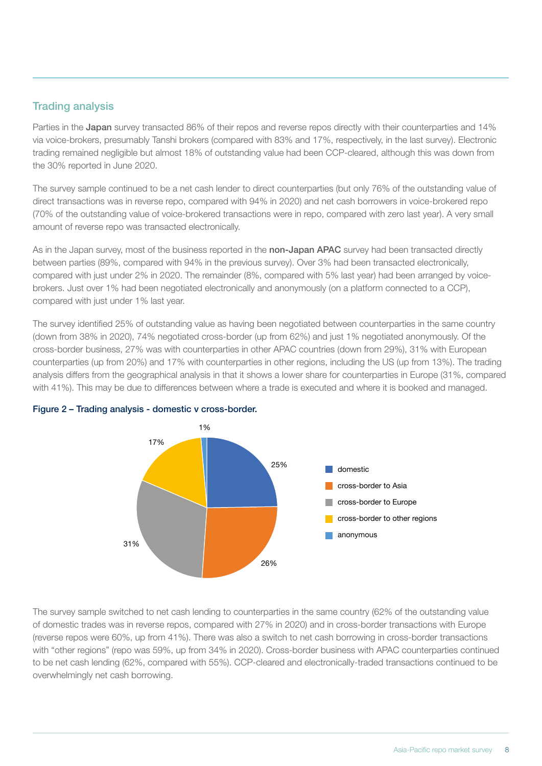#### Trading analysis

Parties in the Japan survey transacted 86% of their repos and reverse repos directly with their counterparties and 14% via voice-brokers, presumably Tanshi brokers (compared with 83% and 17%, respectively, in the last survey). Electronic trading remained negligible but almost 18% of outstanding value had been CCP-cleared, although this was down from the 30% reported in June 2020.

The survey sample continued to be a net cash lender to direct counterparties (but only 76% of the outstanding value of direct transactions was in reverse repo, compared with 94% in 2020) and net cash borrowers in voice-brokered repo (70% of the outstanding value of voice-brokered transactions were in repo, compared with zero last year). A very small amount of reverse repo was transacted electronically.

As in the Japan survey, most of the business reported in the non-Japan APAC survey had been transacted directly between parties (89%, compared with 94% in the previous survey). Over 3% had been transacted electronically, compared with just under 2% in 2020. The remainder (8%, compared with 5% last year) had been arranged by voicebrokers. Just over 1% had been negotiated electronically and anonymously (on a platform connected to a CCP), compared with just under 1% last year.

The survey identified 25% of outstanding value as having been negotiated between counterparties in the same country (down from 38% in 2020), 74% negotiated cross-border (up from 62%) and just 1% negotiated anonymously. Of the cross-border business, 27% was with counterparties in other APAC countries (down from 29%), 31% with European counterparties (up from 20%) and 17% with counterparties in other regions, including the US (up from 13%). The trading analysis differs from the geographical analysis in that it shows a lower share for counterparties in Europe (31%, compared with 41%). This may be due to differences between where a trade is executed and where it is booked and managed.



# Figure 2 - Trading analysis - domestic v cross-border.

The survey sample switched to net cash lending to counterparties in the same country (62% of the outstanding value of domestic trades was in reverse repos, compared with 27% in 2020) and in cross-border transactions with Europe (reverse repos were 60%, up from 41%). There was also a switch to net cash borrowing in cross-border transactions with "other regions" (repo was 59%, up from 34% in 2020). Cross-border business with APAC counterparties continued to be net cash lending (62%, compared with 55%). CCP-cleared and electronically-traded transactions continued to be overwhelmingly net cash borrowing.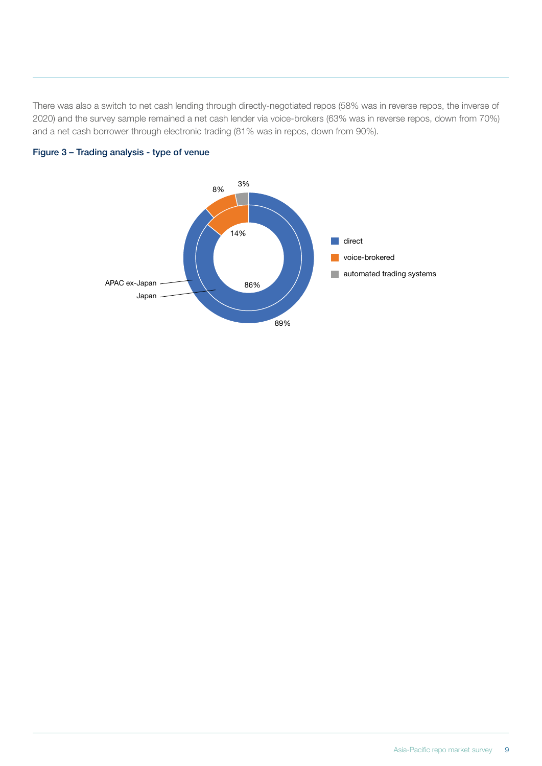There was also a switch to net cash lending through directly-negotiated repos (58% was in reverse repos, the inverse of 2020) and the survey sample remained a net cash lender via voice-brokers (63% was in reverse repos, down from 70%) and a net cash borrower through electronic trading (81% was in repos, down from 90%).



# Figure 3 – Trading analysis - type of venue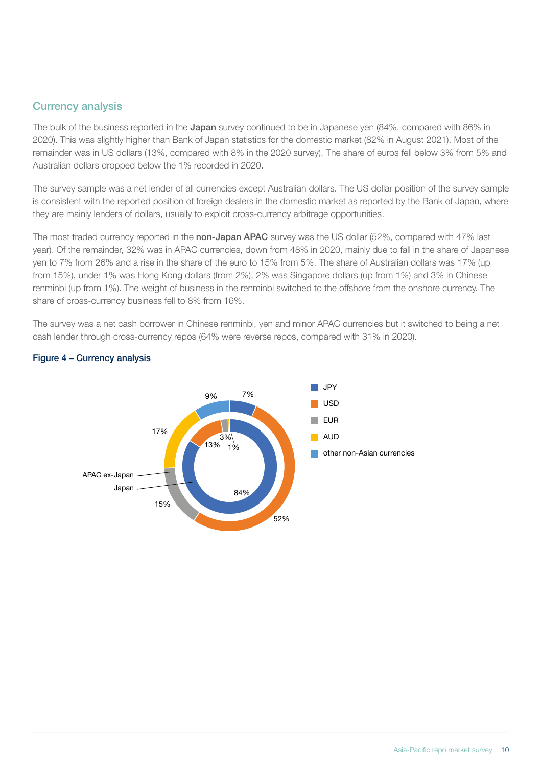#### Currency analysis

The bulk of the business reported in the Japan survey continued to be in Japanese yen (84%, compared with 86% in 2020). This was slightly higher than Bank of Japan statistics for the domestic market (82% in August 2021). Most of the remainder was in US dollars (13%, compared with 8% in the 2020 survey). The share of euros fell below 3% from 5% and Australian dollars dropped below the 1% recorded in 2020.

The survey sample was a net lender of all currencies except Australian dollars. The US dollar position of the survey sample is consistent with the reported position of foreign dealers in the domestic market as reported by the Bank of Japan, where they are mainly lenders of dollars, usually to exploit cross-currency arbitrage opportunities.

The most traded currency reported in the non-Japan APAC survey was the US dollar (52%, compared with 47% last year). Of the remainder, 32% was in APAC currencies, down from 48% in 2020, mainly due to fall in the share of Japanese yen to 7% from 26% and a rise in the share of the euro to 15% from 5%. The share of Australian dollars was 17% (up from 15%), under 1% was Hong Kong dollars (from 2%), 2% was Singapore dollars (up from 1%) and 3% in Chinese renminbi (up from 1%). The weight of business in the renminbi switched to the offshore from the onshore currency. The share of cross-currency business fell to 8% from 16%.

The survey was a net cash borrower in Chinese renminbi, yen and minor APAC currencies but it switched to being a net cash lender through cross-currency repos (64% were reverse repos, compared with 31% in 2020).



# Figure 4 – Currency analysis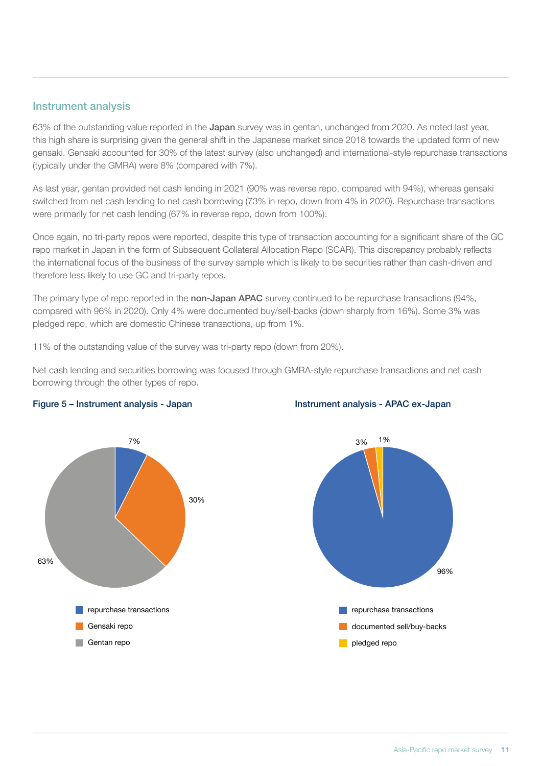#### Instrument analysis

63% of the outstanding value reported in the Japan survey was in gentan, unchanged from 2020. As noted last year, this high share is surprising given the general shift in the Japanese market since 2018 towards the updated form of new gensaki. Gensaki accounted for 30% of the latest survey (also unchanged) and international-style repurchase transactions (typically under the GMRA) were 8% (compared with 7%).

As last year, gentan provided net cash lending in 2021 (90% was reverse repo, compared with 94%), whereas gensaki switched from net cash lending to net cash borrowing (73% in repo, down from 4% in 2020). Repurchase transactions were primarily for net cash lending (67% in reverse repo, down from 100%).

Once again, no tri-party repos were reported, despite this type of transaction accounting for a significant share of the GC repo market in Japan in the form of Subsequent Collateral Allocation Repo (SCAR). This discrepancy probably reflects the international focus of the business of the survey sample which is likely to be securities rather than cash-driven and therefore less likely to use GC and tri-party repos.

The primary type of repo reported in the non-Japan APAC survey continued to be repurchase transactions (94%, compared with 96% in 2020). Only 4% were documented buy/sell-backs (down sharply from 16%). Some 3% was pledged repo, which are domestic Chinese transactions, up from 1%.

11% of the outstanding value of the survey was tri-party repo (down from 20%).

Net cash lending and securities borrowing was focused through GMRA-style repurchase transactions and net cash borrowing through the other types of repo.



#### Figure 5 – Instrument analysis - Japan Instrument analysis - APAC ex-Japan Chart 5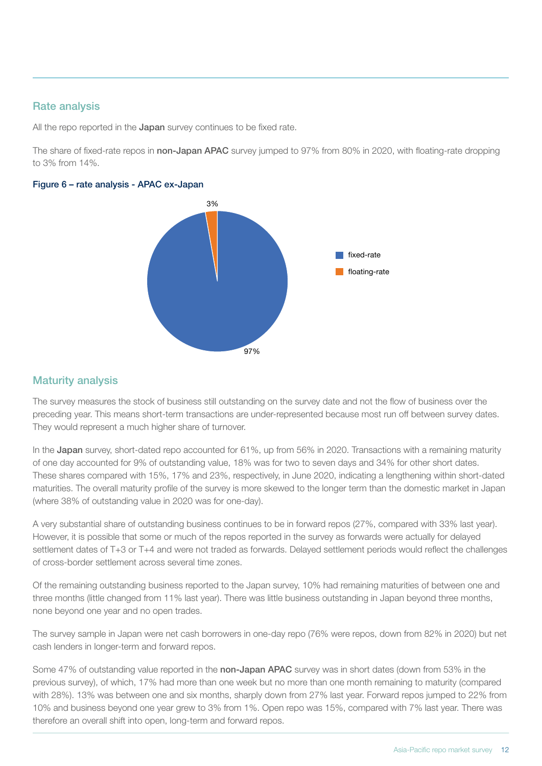#### Rate analysis

All the repo reported in the Japan survey continues to be fixed rate.

The share of fixed-rate repos in non-Japan APAC survey jumped to 97% from 80% in 2020, with floating-rate dropping to 3% from 14%.

#### Figure 6 – rate analysis - APAC ex-Japan



#### Maturity analysis

The survey measures the stock of business still outstanding on the survey date and not the flow of business over the preceding year. This means short-term transactions are under-represented because most run off between survey dates. They would represent a much higher share of turnover.

In the Japan survey, short-dated repo accounted for 61%, up from 56% in 2020. Transactions with a remaining maturity of one day accounted for 9% of outstanding value, 18% was for two to seven days and 34% for other short dates. These shares compared with 15%, 17% and 23%, respectively, in June 2020, indicating a lengthening within short-dated maturities. The overall maturity profile of the survey is more skewed to the longer term than the domestic market in Japan (where 38% of outstanding value in 2020 was for one-day).

A very substantial share of outstanding business continues to be in forward repos (27%, compared with 33% last year). However, it is possible that some or much of the repos reported in the survey as forwards were actually for delayed settlement dates of T+3 or T+4 and were not traded as forwards. Delayed settlement periods would reflect the challenges of cross-border settlement across several time zones.

Of the remaining outstanding business reported to the Japan survey, 10% had remaining maturities of between one and three months (little changed from 11% last year). There was little business outstanding in Japan beyond three months, none beyond one year and no open trades.

The survey sample in Japan were net cash borrowers in one-day repo (76% were repos, down from 82% in 2020) but net cash lenders in longer-term and forward repos.

Some 47% of outstanding value reported in the non-Japan APAC survey was in short dates (down from 53% in the previous survey), of which, 17% had more than one week but no more than one month remaining to maturity (compared with 28%). 13% was between one and six months, sharply down from 27% last year. Forward repos jumped to 22% from 10% and business beyond one year grew to 3% from 1%. Open repo was 15%, compared with 7% last year. There was therefore an overall shift into open, long-term and forward repos.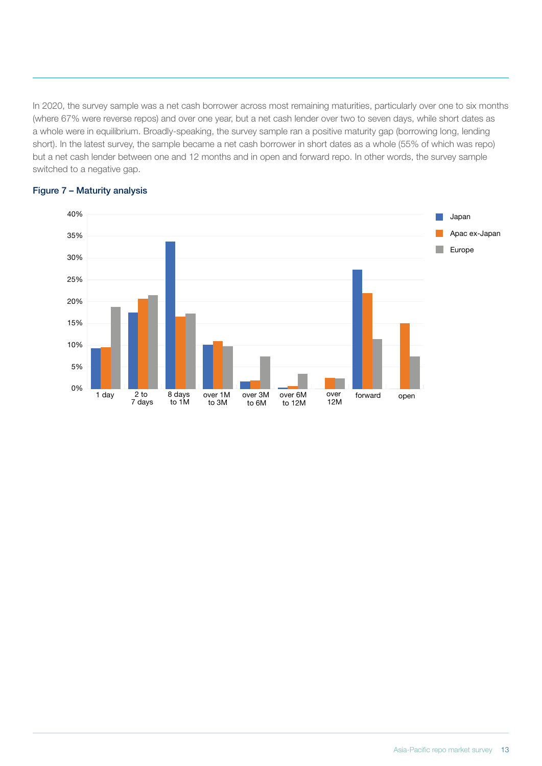In 2020, the survey sample was a net cash borrower across most remaining maturities, particularly over one to six months (where 67% were reverse repos) and over one year, but a net cash lender over two to seven days, while short dates as a whole were in equilibrium. Broadly-speaking, the survey sample ran a positive maturity gap (borrowing long, lending short). In the latest survey, the sample became a net cash borrower in short dates as a whole (55% of which was repo) but a net cash lender between one and 12 months and in open and forward repo. In other words, the survey sample switched to a negative gap.



#### Figure  $7$  – Maturity analysis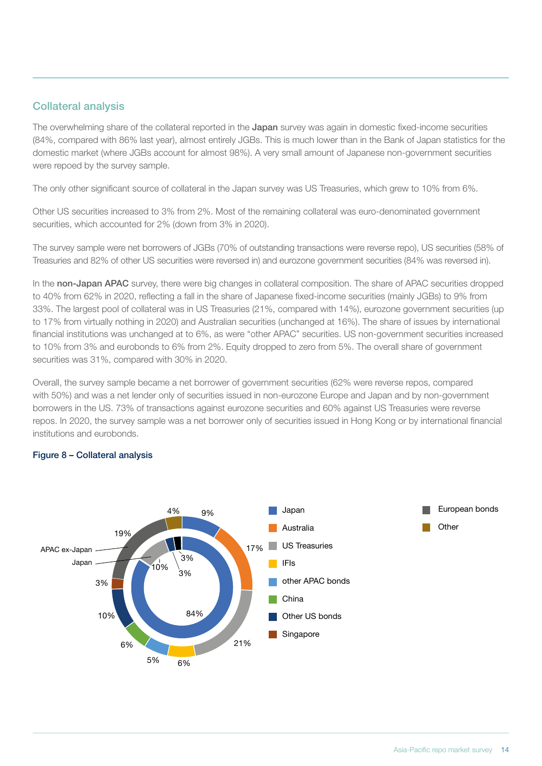#### Collateral analysis

The overwhelming share of the collateral reported in the Japan survey was again in domestic fixed-income securities (84%, compared with 86% last year), almost entirely JGBs. This is much lower than in the Bank of Japan statistics for the domestic market (where JGBs account for almost 98%). A very small amount of Japanese non-government securities were repoed by the survey sample.

The only other significant source of collateral in the Japan survey was US Treasuries, which grew to 10% from 6%.

Other US securities increased to 3% from 2%. Most of the remaining collateral was euro-denominated government securities, which accounted for 2% (down from 3% in 2020).

The survey sample were net borrowers of JGBs (70% of outstanding transactions were reverse repo), US securities (58% of Treasuries and 82% of other US securities were reversed in) and eurozone government securities (84% was reversed in).

In the non-Japan APAC survey, there were big changes in collateral composition. The share of APAC securities dropped to 40% from 62% in 2020, reflecting a fall in the share of Japanese fixed-income securities (mainly JGBs) to 9% from 33%. The largest pool of collateral was in US Treasuries (21%, compared with 14%), eurozone government securities (up to 17% from virtually nothing in 2020) and Australian securities (unchanged at 16%). The share of issues by international financial institutions was unchanged at to 6%, as were "other APAC" securities. US non-government securities increased to 10% from 3% and eurobonds to 6% from 2%. Equity dropped to zero from 5%. The overall share of government securities was 31%, compared with 30% in 2020.

Overall, the survey sample became a net borrower of government securities (62% were reverse repos, compared with 50%) and was a net lender only of securities issued in non-eurozone Europe and Japan and by non-government borrowers in the US. 73% of transactions against eurozone securities and 60% against US Treasuries were reverse repos. In 2020, the survey sample was a net borrower only of securities issued in Hong Kong or by international financial institutions and eurobonds.

#### Figure 8 – Collateral analysis

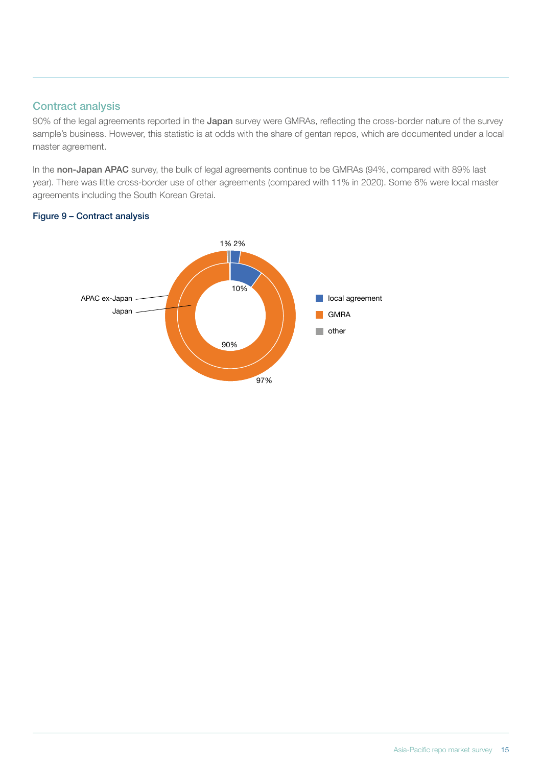#### Contract analysis

90% of the legal agreements reported in the Japan survey were GMRAs, reflecting the cross-border nature of the survey sample's business. However, this statistic is at odds with the share of gentan repos, which are documented under a local master agreement.

In the non-Japan APAC survey, the bulk of legal agreements continue to be GMRAs (94%, compared with 89% last year). There was little cross-border use of other agreements (compared with 11% in 2020). Some 6% were local master agreements including the South Korean Gretai.

#### Figure 9 – Contract analysis

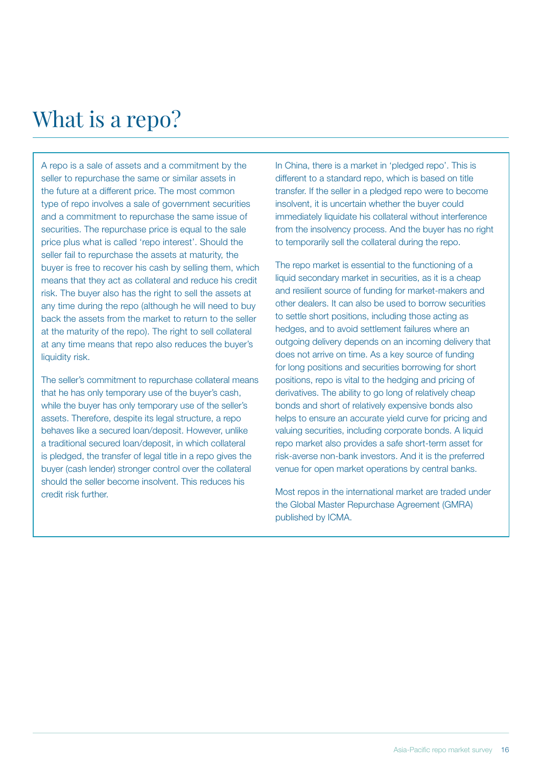# What is a repo?

A repo is a sale of assets and a commitment by the seller to repurchase the same or similar assets in the future at a different price. The most common type of repo involves a sale of government securities and a commitment to repurchase the same issue of securities. The repurchase price is equal to the sale price plus what is called 'repo interest'. Should the seller fail to repurchase the assets at maturity, the buyer is free to recover his cash by selling them, which means that they act as collateral and reduce his credit risk. The buyer also has the right to sell the assets at any time during the repo (although he will need to buy back the assets from the market to return to the seller at the maturity of the repo). The right to sell collateral at any time means that repo also reduces the buyer's liquidity risk.

The seller's commitment to repurchase collateral means that he has only temporary use of the buyer's cash, while the buyer has only temporary use of the seller's assets. Therefore, despite its legal structure, a repo behaves like a secured loan/deposit. However, unlike a traditional secured loan/deposit, in which collateral is pledged, the transfer of legal title in a repo gives the buyer (cash lender) stronger control over the collateral should the seller become insolvent. This reduces his credit risk further.

In China, there is a market in 'pledged repo'. This is different to a standard repo, which is based on title transfer. If the seller in a pledged repo were to become insolvent, it is uncertain whether the buyer could immediately liquidate his collateral without interference from the insolvency process. And the buyer has no right to temporarily sell the collateral during the repo.

The repo market is essential to the functioning of a liquid secondary market in securities, as it is a cheap and resilient source of funding for market-makers and other dealers. It can also be used to borrow securities to settle short positions, including those acting as hedges, and to avoid settlement failures where an outgoing delivery depends on an incoming delivery that does not arrive on time. As a key source of funding for long positions and securities borrowing for short positions, repo is vital to the hedging and pricing of derivatives. The ability to go long of relatively cheap bonds and short of relatively expensive bonds also helps to ensure an accurate yield curve for pricing and valuing securities, including corporate bonds. A liquid repo market also provides a safe short-term asset for risk-averse non-bank investors. And it is the preferred venue for open market operations by central banks.

Most repos in the international market are traded under the Global Master Repurchase Agreement (GMRA) published by ICMA.